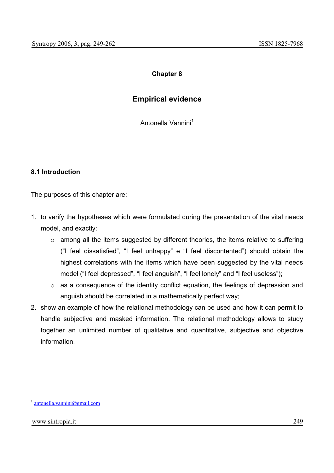# **Chapter 8**

# **Empirical evidence**

Antonella Vannini<sup>1</sup>

#### **8.1 Introduction**

The purposes of this chapter are:

- 1. to verify the hypotheses which were formulated during the presentation of the vital needs model, and exactly:
	- o among all the items suggested by different theories, the items relative to suffering ("I feel dissatisfied", "I feel unhappy" e "I feel discontented") should obtain the highest correlations with the items which have been suggested by the vital needs model ("I feel depressed", "I feel anguish", "I feel lonely" and "I feel useless");
	- o as a consequence of the identity conflict equation, the feelings of depression and anguish should be correlated in a mathematically perfect way;
- 2. show an example of how the relational methodology can be used and how it can permit to handle subjective and masked information. The relational methodology allows to study together an unlimited number of qualitative and quantitative, subjective and objective information.

 $antonella.vannini@gmail.com$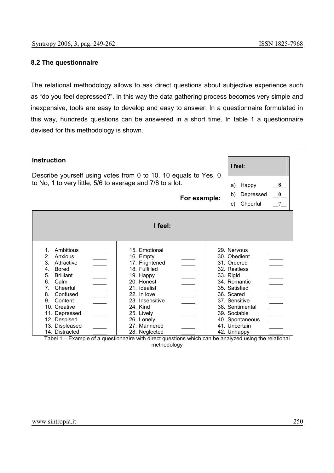### **8.2 The questionnaire**

The relational methodology allows to ask direct questions about subjective experience such as "do you feel depressed?". In this way the data gathering process becomes very simple and inexpensive, tools are easy to develop and easy to answer. In a questionnaire formulated in this way, hundreds questions can be answered in a short time. In table 1 a questionnaire devised for this methodology is shown.

| <b>Instruction</b><br>I feel:<br>Describe yourself using votes from 0 to 10. 10 equals to Yes, 0<br>to No, 1 to very little, 5/6 to average and 7/8 to a lot.<br>8<br>Happy<br>a)<br>$-0$<br>Depressed<br>b)<br>For example:<br>$7\overline{ }$<br>Cheerful<br>C)<br>I feel:       |                                                                                                                                                                                                                                                                             |                                                                                                                                                                                                                               |                          |  |  |
|------------------------------------------------------------------------------------------------------------------------------------------------------------------------------------------------------------------------------------------------------------------------------------|-----------------------------------------------------------------------------------------------------------------------------------------------------------------------------------------------------------------------------------------------------------------------------|-------------------------------------------------------------------------------------------------------------------------------------------------------------------------------------------------------------------------------|--------------------------|--|--|
| Ambitious<br>$1_{-}$<br>2 <sub>1</sub><br>Anxious<br>3.<br>Attractive<br>4.<br>Bored<br>5.<br><b>Brilliant</b><br>6.<br>Calm<br>7 <sub>1</sub><br>Cheerful<br>8.<br>Confused<br>9.<br>Content<br>10. Creative<br>11. Depressed<br>12. Despised<br>13. Displeased<br>14. Distracted | 15. Emotional<br>16. Empty<br>17. Frightened<br>18. Fulfilled<br>19. Happy<br>20. Honest<br>21. Idealist<br>$\overline{\phantom{a}}$<br>22. In love<br>23. Insensitive<br>$\overline{\phantom{a}}$<br>24. Kind<br>25. Lively<br>26. Lonely<br>27. Mannered<br>28. Neglected | 29. Nervous<br>30. Obedient<br>31. Ordered<br>32. Restless<br>33. Rigid<br>34. Romantic<br>35. Satisfied<br>36. Scared<br>37. Sensitive<br>38. Sentimental<br>39. Sociable<br>40. Spontaneous<br>41. Uncertain<br>42. Unhappy | $\overline{\phantom{a}}$ |  |  |

Tabel 1 – Example of a questionnaire with direct questions which can be analyzed using the relational methodology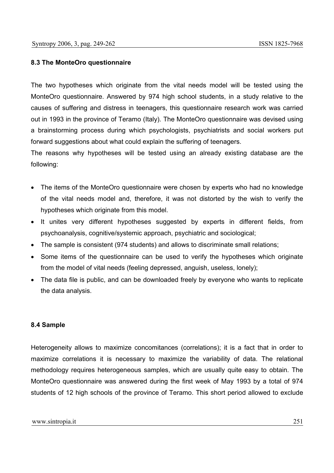# **8.3 The MonteOro questionnaire**

The two hypotheses which originate from the vital needs model will be tested using the MonteOro questionnaire. Answered by 974 high school students, in a study relative to the causes of suffering and distress in teenagers, this questionnaire research work was carried out in 1993 in the province of Teramo (Italy). The MonteOro questionnaire was devised using a brainstorming process during which psychologists, psychiatrists and social workers put forward suggestions about what could explain the suffering of teenagers.

The reasons why hypotheses will be tested using an already existing database are the following:

- The items of the MonteOro questionnaire were chosen by experts who had no knowledge of the vital needs model and, therefore, it was not distorted by the wish to verify the hypotheses which originate from this model.
- It unites very different hypotheses suggested by experts in different fields, from psychoanalysis, cognitive/systemic approach, psychiatric and sociological;
- The sample is consistent (974 students) and allows to discriminate small relations;
- Some items of the questionnaire can be used to verify the hypotheses which originate from the model of vital needs (feeling depressed, anguish, useless, lonely);
- The data file is public, and can be downloaded freely by everyone who wants to replicate the data analysis.

#### **8.4 Sample**

Heterogeneity allows to maximize concomitances (correlations); it is a fact that in order to maximize correlations it is necessary to maximize the variability of data. The relational methodology requires heterogeneous samples, which are usually quite easy to obtain. The MonteOro questionnaire was answered during the first week of May 1993 by a total of 974 students of 12 high schools of the province of Teramo. This short period allowed to exclude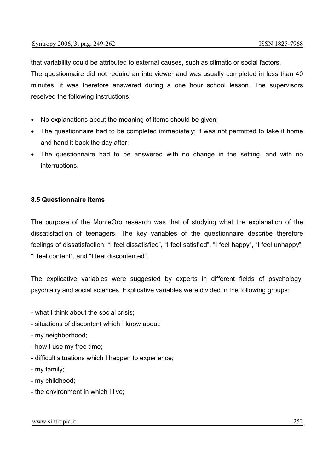that variability could be attributed to external causes, such as climatic or social factors. The questionnaire did not require an interviewer and was usually completed in less than 40 minutes, it was therefore answered during a one hour school lesson. The supervisors received the following instructions:

- No explanations about the meaning of items should be given;
- The questionnaire had to be completed immediately; it was not permitted to take it home and hand it back the day after;
- The questionnaire had to be answered with no change in the setting, and with no interruptions.

#### **8.5 Questionnaire items**

The purpose of the MonteOro research was that of studying what the explanation of the dissatisfaction of teenagers. The key variables of the questionnaire describe therefore feelings of dissatisfaction: "I feel dissatisfied", "I feel satisfied", "I feel happy", "I feel unhappy", "I feel content", and "I feel discontented".

The explicative variables were suggested by experts in different fields of psychology, psychiatry and social sciences. Explicative variables were divided in the following groups:

- what I think about the social crisis;
- situations of discontent which I know about;
- my neighborhood;
- how I use my free time;
- difficult situations which I happen to experience;
- my family;
- my childhood;
- the environment in which I live;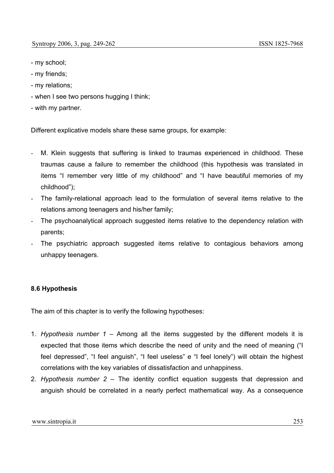- my school;
- my friends;
- my relations;
- when I see two persons hugging I think;
- with my partner.

Different explicative models share these same groups, for example:

- M. Klein suggests that suffering is linked to traumas experienced in childhood. These traumas cause a failure to remember the childhood (this hypothesis was translated in items "I remember very little of my childhood" and "I have beautiful memories of my childhood");
- The family-relational approach lead to the formulation of several items relative to the relations among teenagers and his/her family;
- The psychoanalytical approach suggested items relative to the dependency relation with parents;
- The psychiatric approach suggested items relative to contagious behaviors among unhappy teenagers.

# **8.6 Hypothesis**

The aim of this chapter is to verify the following hypotheses:

- 1. *Hypothesis number 1* Among all the items suggested by the different models it is expected that those items which describe the need of unity and the need of meaning ("I feel depressed", "I feel anguish", "I feel useless" e "I feel lonely") will obtain the highest correlations with the key variables of dissatisfaction and unhappiness.
- 2. *Hypothesis number 2* The identity conflict equation suggests that depression and anguish should be correlated in a nearly perfect mathematical way. As a consequence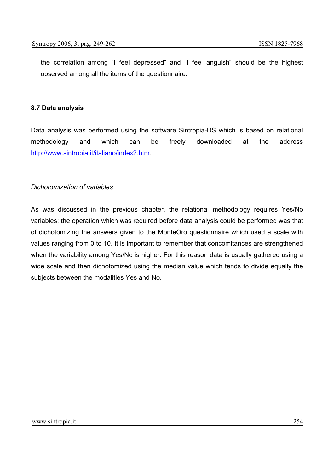the correlation among "I feel depressed" and "I feel anguish" should be the highest observed among all the items of the questionnaire.

#### **8.7 Data analysis**

Data analysis was performed using the software Sintropia-DS which is based on relational methodology and which can be freely downloaded at the address http://www.sintropia.it/italiano/index2.htm.

# *Dichotomization of variables*

As was discussed in the previous chapter, the relational methodology requires Yes/No variables; the operation which was required before data analysis could be performed was that of dichotomizing the answers given to the MonteOro questionnaire which used a scale with values ranging from 0 to 10. It is important to remember that concomitances are strengthened when the variability among Yes/No is higher. For this reason data is usually gathered using a wide scale and then dichotomized using the median value which tends to divide equally the subjects between the modalities Yes and No.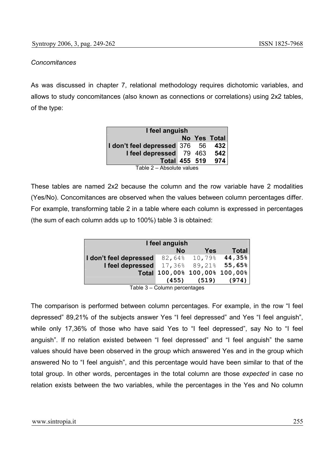### *Concomitances*

As was discussed in chapter 7, relational methodology requires dichotomic variables, and allows to study concomitances (also known as connections or correlations) using 2x2 tables, of the type:

| I feel anguish                      |  |  |              |  |  |
|-------------------------------------|--|--|--------------|--|--|
|                                     |  |  | No Yes Total |  |  |
| I don't feel depressed $376$ 56 432 |  |  |              |  |  |
| I feel depressed 79 463 542         |  |  |              |  |  |
| <b>Total 455 519</b>                |  |  | 974          |  |  |
| $T - b = 0$ $A - b = 1$             |  |  |              |  |  |

Table 2 – Absolute values

These tables are named 2x2 because the column and the row variable have 2 modalities (Yes/No). Concomitances are observed when the values between column percentages differ. For example, transforming table 2 in a table where each column is expressed in percentages (the sum of each column adds up to 100%) table 3 is obtained:

| I feel anguish         |           |                               |              |  |  |
|------------------------|-----------|-------------------------------|--------------|--|--|
|                        | <b>No</b> | <b>Yes</b>                    | <b>Total</b> |  |  |
| I don't feel depressed |           | 82,64% 10,79% 44,35%          |              |  |  |
| I feel depressed       |           | 17,36% 89,21% 55,65%          |              |  |  |
|                        |           | Total 100,00% 100,00% 100,00% |              |  |  |
|                        | (455)     | (519)                         | (974)        |  |  |

Table 3 – Column percentages

The comparison is performed between column percentages. For example, in the row "I feel depressed" 89,21% of the subjects answer Yes "I feel depressed" and Yes "I feel anguish", while only 17,36% of those who have said Yes to "I feel depressed", say No to "I feel anguish". If no relation existed between "I feel depressed" and "I feel anguish" the same values should have been observed in the group which answered Yes and in the group which answered No to "I feel anguish", and this percentage would have been similar to that of the total group. In other words, percentages in the total column are those *expected* in case no relation exists between the two variables, while the percentages in the Yes and No column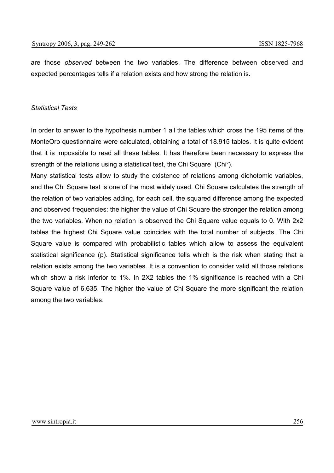are those *observed* between the two variables. The difference between observed and expected percentages tells if a relation exists and how strong the relation is.

#### *Statistical Tests*

In order to answer to the hypothesis number 1 all the tables which cross the 195 items of the MonteOro questionnaire were calculated, obtaining a total of 18.915 tables. It is quite evident that it is impossible to read all these tables. It has therefore been necessary to express the strength of the relations using a statistical test, the Chi Square (Chi²).

Many statistical tests allow to study the existence of relations among dichotomic variables, and the Chi Square test is one of the most widely used. Chi Square calculates the strength of the relation of two variables adding, for each cell, the squared difference among the expected and observed frequencies: the higher the value of Chi Square the stronger the relation among the two variables. When no relation is observed the Chi Square value equals to 0. With 2x2 tables the highest Chi Square value coincides with the total number of subjects. The Chi Square value is compared with probabilistic tables which allow to assess the equivalent statistical significance (p). Statistical significance tells which is the risk when stating that a relation exists among the two variables. It is a convention to consider valid all those relations which show a risk inferior to 1%. In 2X2 tables the 1% significance is reached with a Chi Square value of 6,635. The higher the value of Chi Square the more significant the relation among the two variables.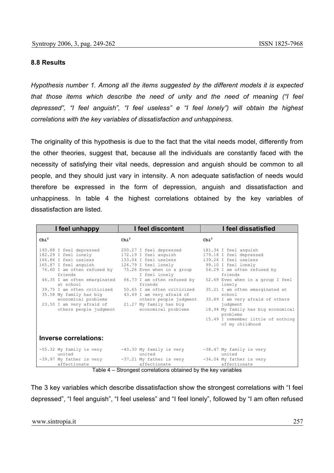#### **8.8 Results**

*Hypothesis number 1. Among all the items suggested by the different models it is expected that those items which describe the need of unity and the need of meaning ("I feel depressed", "I feel anguish", "I feel useless" e "I feel lonely") will obtain the highest correlations with the key variables of dissatisfaction and unhappiness.* 

The originality of this hypothesis is due to the fact that the vital needs model, differently from the other theories, suggest that, because all the individuals are constantly faced with the necessity of satisfying their vital needs, depression and anguish should be common to all people, and they should just vary in intensity. A non adequate satisfaction of needs would therefore be expressed in the form of depression, anguish and dissatisfaction and unhappiness. In table 4 the highest correlations obtained by the key variables of dissatisfaction are listed.

| I feel unhappy                                                                                                                                                                                                                                                                                                                   | I feel discontent                                                                                                                                                                                                                                                                                                                  | I feel dissatisfied                                                                                                                                                                                                                                                                                                                                                                               |
|----------------------------------------------------------------------------------------------------------------------------------------------------------------------------------------------------------------------------------------------------------------------------------------------------------------------------------|------------------------------------------------------------------------------------------------------------------------------------------------------------------------------------------------------------------------------------------------------------------------------------------------------------------------------------|---------------------------------------------------------------------------------------------------------------------------------------------------------------------------------------------------------------------------------------------------------------------------------------------------------------------------------------------------------------------------------------------------|
| $\text{Chi}^2$                                                                                                                                                                                                                                                                                                                   | $\text{Chi}^2$                                                                                                                                                                                                                                                                                                                     | $\text{Chi}^2$                                                                                                                                                                                                                                                                                                                                                                                    |
| 193.88 I feel depressed<br>182.29 I feel lonely<br>166.86 T feel useless<br>165.87 I feel anguish<br>76.60 I am often refused by<br>friends<br>46.35 I am often emarginated<br>at school<br>39.75 T am often criticized<br>35.58 My family has big<br>economical problems<br>23.50 I am very afraid of<br>others people judgment | 200.27 I feel depressed<br>172.19 I feel anguish<br>133.04 T feel useless<br>126.79 I feel lonely<br>75.26 Even when in a group<br>I feel lonely<br>66.73 I am often refused by<br>friends<br>50.65 T am often criticized<br>43.49 I am very afraid of<br>others people judgment<br>21.27 My family has big<br>economical problems | 181.34 I feel anguish<br>179.18 I feel depressed<br>139.26 T feel useless<br>99.10 I feel lonely<br>54.29 I am often refused by<br>friends<br>52.69 Even when in a group I feel<br>lonely<br>35.21 I am often emarginated at<br>school<br>33.89 I am very afraid of others<br>judgment<br>18.94 My family has big economical<br>problems<br>15.49 I remember little of nothing<br>of my childhood |
| <b>Inverse correlations:</b>                                                                                                                                                                                                                                                                                                     |                                                                                                                                                                                                                                                                                                                                    |                                                                                                                                                                                                                                                                                                                                                                                                   |
| -55.32 My family is very<br>united<br>-39.97 My father is very                                                                                                                                                                                                                                                                   | $-40.30$ My family is very<br>united<br>-37.21 My father is very                                                                                                                                                                                                                                                                   | -38.47 My family is very<br>united<br>-34.04 My father is very                                                                                                                                                                                                                                                                                                                                    |
| affectionate<br>$T - L L$                                                                                                                                                                                                                                                                                                        | affectionate<br>Other are at the model of contractor of the distribution of the contractor of the second set of the second second second second second second second second second second second second second second second second second sec                                                                                     | affectionate                                                                                                                                                                                                                                                                                                                                                                                      |

Table 4 – Strongest correlations obtained by the key variables

The 3 key variables which describe dissatisfaction show the strongest correlations with "I feel depressed", "I feel anguish", "I feel useless" and "I feel lonely", followed by "I am often refused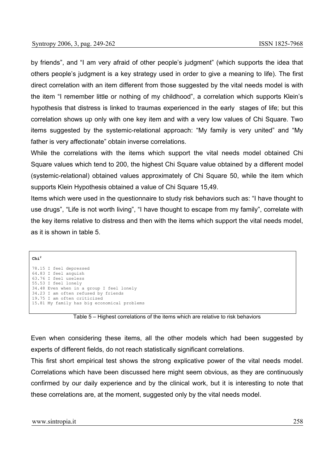by friends", and "I am very afraid of other people's judgment" (which supports the idea that others people's judgment is a key strategy used in order to give a meaning to life). The first direct correlation with an item different from those suggested by the vital needs model is with the item "I remember little or nothing of my childhood", a correlation which supports Klein's hypothesis that distress is linked to traumas experienced in the early stages of life; but this correlation shows up only with one key item and with a very low values of Chi Square. Two items suggested by the systemic-relational approach: "My family is very united" and "My father is very affectionate" obtain inverse correlations.

While the correlations with the items which support the vital needs model obtained Chi Square values which tend to 200, the highest Chi Square value obtained by a different model (systemic-relational) obtained values approximately of Chi Square 50, while the item which supports Klein Hypothesis obtained a value of Chi Square 15,49.

Items which were used in the questionnaire to study risk behaviors such as: "I have thought to use drugs", "Life is not worth living", "I have thought to escape from my family", correlate with the key items relative to distress and then with the items which support the vital needs model, as it is shown in table 5.

**Chi<sup>2</sup>**

```
78.15 I feel depressed 
64.83 I feel anguish 
63.76 I feel useless 
55.53 I feel lonely 
34.48 Even when in a group I feel lonely 
34.23 I am often refused by friends 
19.75 I am often criticized 
15.81 My family has big economical problems
```
Table 5 – Highest correlations of the items which are relative to risk behaviors

Even when considering these items, all the other models which had been suggested by experts of different fields, do not reach statistically significant correlations.

This first short empirical test shows the strong explicative power of the vital needs model. Correlations which have been discussed here might seem obvious, as they are continuously confirmed by our daily experience and by the clinical work, but it is interesting to note that these correlations are, at the moment, suggested only by the vital needs model.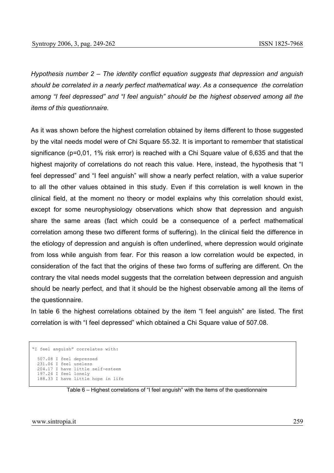*Hypothesis number 2 – The identity conflict equation suggests that depression and anguish should be correlated in a nearly perfect mathematical way. As a consequence the correlation among "I feel depressed" and "I feel anguish" should be the highest observed among all the items of this questionnaire.* 

As it was shown before the highest correlation obtained by items different to those suggested by the vital needs model were of Chi Square 55.32. It is important to remember that statistical significance (p=0,01, 1% risk error) is reached with a Chi Square value of 6,635 and that the highest majority of correlations do not reach this value. Here, instead, the hypothesis that "I feel depressed" and "I feel anguish" will show a nearly perfect relation, with a value superior to all the other values obtained in this study. Even if this correlation is well known in the clinical field, at the moment no theory or model explains why this correlation should exist, except for some neurophysiology observations which show that depression and anguish share the same areas (fact which could be a consequence of a perfect mathematical correlation among these two different forms of suffering). In the clinical field the difference in the etiology of depression and anguish is often underlined, where depression would originate from loss while anguish from fear. For this reason a low correlation would be expected, in consideration of the fact that the origins of these two forms of suffering are different. On the contrary the vital needs model suggests that the correlation between depression and anguish should be nearly perfect, and that it should be the highest observable among all the items of the questionnaire.

In table 6 the highest correlations obtained by the item "I feel anguish" are listed. The first correlation is with "I feel depressed" which obtained a Chi Square value of 507.08.

```
"I feel anguish" correlates with: 
  507.08 I feel depressed 
  231.06 I feel useless 
  204.17 I have little self-esteem 
  197.24 I feel lonely 
  188.33 I have little hope in life
```
Table 6 – Highest correlations of "I feel anguish" with the items of the questionnaire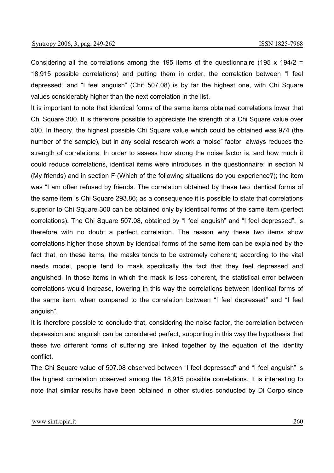Considering all the correlations among the 195 items of the questionnaire (195 x 194/2 = 18,915 possible correlations) and putting them in order, the correlation between "I feel depressed" and "I feel anguish" (Chi² 507.08) is by far the highest one, with Chi Square values considerably higher than the next correlation in the list.

It is important to note that identical forms of the same items obtained correlations lower that Chi Square 300. It is therefore possible to appreciate the strength of a Chi Square value over 500. In theory, the highest possible Chi Square value which could be obtained was 974 (the number of the sample), but in any social research work a "noise" factor always reduces the strength of correlations. In order to assess how strong the noise factor is, and how much it could reduce correlations, identical items were introduces in the questionnaire: in section N (My friends) and in section F (Which of the following situations do you experience?); the item was "I am often refused by friends. The correlation obtained by these two identical forms of the same item is Chi Square 293.86; as a consequence it is possible to state that correlations superior to Chi Square 300 can be obtained only by identical forms of the same item (perfect correlations). The Chi Square 507.08, obtained by "I feel anguish" and "I feel depressed", is therefore with no doubt a perfect correlation. The reason why these two items show correlations higher those shown by identical forms of the same item can be explained by the fact that, on these items, the masks tends to be extremely coherent; according to the vital needs model, people tend to mask specifically the fact that they feel depressed and anguished. In those items in which the mask is less coherent, the statistical error between correlations would increase, lowering in this way the correlations between identical forms of the same item, when compared to the correlation between "I feel depressed" and "I feel anguish".

It is therefore possible to conclude that, considering the noise factor, the correlation between depression and anguish can be considered perfect, supporting in this way the hypothesis that these two different forms of suffering are linked together by the equation of the identity conflict.

The Chi Square value of 507.08 observed between "I feel depressed" and "I feel anguish" is the highest correlation observed among the 18,915 possible correlations. It is interesting to note that similar results have been obtained in other studies conducted by Di Corpo since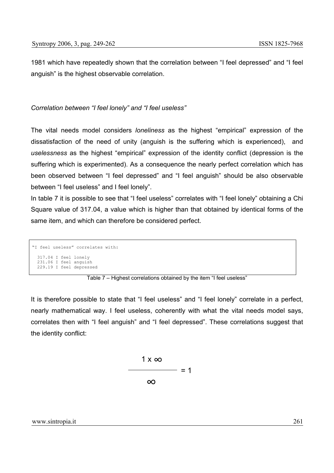1981 which have repeatedly shown that the correlation between "I feel depressed" and "I feel anguish" is the highest observable correlation.

# *Correlation between "I feel lonely" and "I feel useless"*

The vital needs model considers *loneliness* as the highest "empirical" expression of the dissatisfaction of the need of unity (anguish is the suffering which is experienced), and *uselessness* as the highest "empirical" expression of the identity conflict (depression is the suffering which is experimented). As a consequence the nearly perfect correlation which has been observed between "I feel depressed" and "I feel anguish" should be also observable between "I feel useless" and I feel lonely".

In table 7 it is possible to see that "I feel useless" correlates with "I feel lonely" obtaining a Chi Square value of 317.04, a value which is higher than that obtained by identical forms of the same item, and which can therefore be considered perfect.

```
"I feel useless" correlates with: 
  317.04 I feel lonely 
 231.06 I feel anguish 
 229.19 I feel depressed
```
Table 7 – Highest correlations obtained by the item "I feel useless"

It is therefore possible to state that "I feel useless" and "I feel lonely" correlate in a perfect, nearly mathematical way. I feel useless, coherently with what the vital needs model says, correlates then with "I feel anguish" and "I feel depressed". These correlations suggest that the identity conflict:

$$
\frac{1 \times \infty}{\infty} = 1
$$

#### www.sintropia.it 261